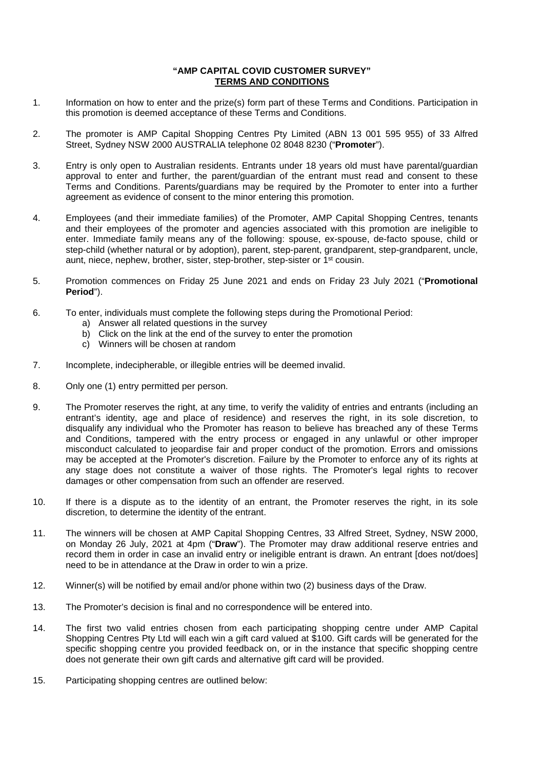## **"AMP CAPITAL COVID CUSTOMER SURVEY" TERMS AND CONDITIONS**

- 1. Information on how to enter and the prize(s) form part of these Terms and Conditions. Participation in this promotion is deemed acceptance of these Terms and Conditions.
- 2. The promoter is AMP Capital Shopping Centres Pty Limited (ABN 13 001 595 955) of 33 Alfred Street, Sydney NSW 2000 AUSTRALIA telephone 02 8048 8230 ("**Promoter**").
- 3. Entry is only open to Australian residents. Entrants under 18 years old must have parental/guardian approval to enter and further, the parent/guardian of the entrant must read and consent to these Terms and Conditions. Parents/guardians may be required by the Promoter to enter into a further agreement as evidence of consent to the minor entering this promotion.
- 4. Employees (and their immediate families) of the Promoter, AMP Capital Shopping Centres, tenants and their employees of the promoter and agencies associated with this promotion are ineligible to enter. Immediate family means any of the following: spouse, ex-spouse, de-facto spouse, child or step-child (whether natural or by adoption), parent, step-parent, grandparent, step-grandparent, uncle, aunt, niece, nephew, brother, sister, step-brother, step-sister or 1st cousin.
- 5. Promotion commences on Friday 25 June 2021 and ends on Friday 23 July 2021 ("**Promotional Period**").
- 6. To enter, individuals must complete the following steps during the Promotional Period:
	- a) Answer all related questions in the survey
	- b) Click on the link at the end of the survey to enter the promotion
	- c) Winners will be chosen at random
- 7. Incomplete, indecipherable, or illegible entries will be deemed invalid.
- 8. Only one (1) entry permitted per person.
- 9. The Promoter reserves the right, at any time, to verify the validity of entries and entrants (including an entrant's identity, age and place of residence) and reserves the right, in its sole discretion, to disqualify any individual who the Promoter has reason to believe has breached any of these Terms and Conditions, tampered with the entry process or engaged in any unlawful or other improper misconduct calculated to jeopardise fair and proper conduct of the promotion. Errors and omissions may be accepted at the Promoter's discretion. Failure by the Promoter to enforce any of its rights at any stage does not constitute a waiver of those rights. The Promoter's legal rights to recover damages or other compensation from such an offender are reserved.
- 10. If there is a dispute as to the identity of an entrant, the Promoter reserves the right, in its sole discretion, to determine the identity of the entrant.
- 11. The winners will be chosen at AMP Capital Shopping Centres, 33 Alfred Street, Sydney, NSW 2000, on Monday 26 July, 2021 at 4pm ("**Draw**"). The Promoter may draw additional reserve entries and record them in order in case an invalid entry or ineligible entrant is drawn. An entrant [does not/does] need to be in attendance at the Draw in order to win a prize.
- 12. Winner(s) will be notified by email and/or phone within two (2) business days of the Draw.
- 13. The Promoter's decision is final and no correspondence will be entered into.
- 14. The first two valid entries chosen from each participating shopping centre under AMP Capital Shopping Centres Pty Ltd will each win a gift card valued at \$100. Gift cards will be generated for the specific shopping centre you provided feedback on, or in the instance that specific shopping centre does not generate their own gift cards and alternative gift card will be provided.
- 15. Participating shopping centres are outlined below: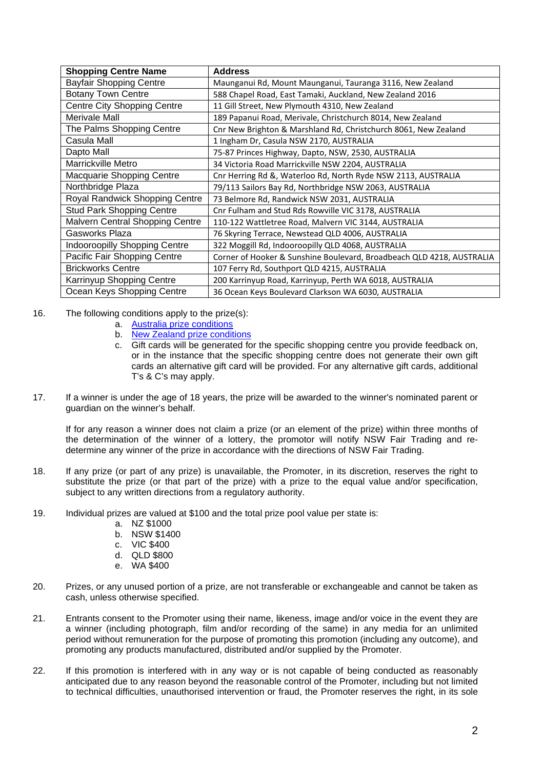| <b>Shopping Centre Name</b>            | <b>Address</b>                                                        |
|----------------------------------------|-----------------------------------------------------------------------|
| <b>Bayfair Shopping Centre</b>         | Maunganui Rd, Mount Maunganui, Tauranga 3116, New Zealand             |
| <b>Botany Town Centre</b>              | 588 Chapel Road, East Tamaki, Auckland, New Zealand 2016              |
| <b>Centre City Shopping Centre</b>     | 11 Gill Street, New Plymouth 4310, New Zealand                        |
| Merivale Mall                          | 189 Papanui Road, Merivale, Christchurch 8014, New Zealand            |
| The Palms Shopping Centre              | Cnr New Brighton & Marshland Rd, Christchurch 8061, New Zealand       |
| Casula Mall                            | 1 Ingham Dr, Casula NSW 2170, AUSTRALIA                               |
| Dapto Mall                             | 75-87 Princes Highway, Dapto, NSW, 2530, AUSTRALIA                    |
| Marrickville Metro                     | 34 Victoria Road Marrickville NSW 2204, AUSTRALIA                     |
| Macquarie Shopping Centre              | Cnr Herring Rd &, Waterloo Rd, North Ryde NSW 2113, AUSTRALIA         |
| Northbridge Plaza                      | 79/113 Sailors Bay Rd, Northbridge NSW 2063, AUSTRALIA                |
| Royal Randwick Shopping Centre         | 73 Belmore Rd, Randwick NSW 2031, AUSTRALIA                           |
| <b>Stud Park Shopping Centre</b>       | Cnr Fulham and Stud Rds Rowville VIC 3178, AUSTRALIA                  |
| <b>Malvern Central Shopping Centre</b> | 110-122 Wattletree Road, Malvern VIC 3144, AUSTRALIA                  |
| Gasworks Plaza                         | 76 Skyring Terrace, Newstead QLD 4006, AUSTRALIA                      |
| <b>Indooroopilly Shopping Centre</b>   | 322 Moggill Rd, Indooroopilly QLD 4068, AUSTRALIA                     |
| Pacific Fair Shopping Centre           | Corner of Hooker & Sunshine Boulevard, Broadbeach QLD 4218, AUSTRALIA |
| <b>Brickworks Centre</b>               | 107 Ferry Rd, Southport QLD 4215, AUSTRALIA                           |
| Karrinyup Shopping Centre              | 200 Karrinyup Road, Karrinyup, Perth WA 6018, AUSTRALIA               |
| Ocean Keys Shopping Centre             | 36 Ocean Keys Boulevard Clarkson WA 6030, AUSTRALIA                   |

16. The following conditions apply to the prize(s):

- a. [Australia prize conditions](https://www.pacificfair.com.au/media/files/pacificfair/63/63335aff-269f-4e87-b6c1-da208c0eed12.pdf)
- b. [New Zealand prize conditions](https://www.bayfair.co.nz/getmedia/f0300fe2-f24c-4850-98cb-3f169cb212c6/GiftCard_T-Cs_v3.pdf.aspx)
- c. Gift cards will be generated for the specific shopping centre you provide feedback on, or in the instance that the specific shopping centre does not generate their own gift cards an alternative gift card will be provided. For any alternative gift cards, additional T's & C's may apply.
- 17. If a winner is under the age of 18 years, the prize will be awarded to the winner's nominated parent or guardian on the winner's behalf.

If for any reason a winner does not claim a prize (or an element of the prize) within three months of the determination of the winner of a lottery, the promotor will notify NSW Fair Trading and redetermine any winner of the prize in accordance with the directions of NSW Fair Trading.

- 18. If any prize (or part of any prize) is unavailable, the Promoter, in its discretion, reserves the right to substitute the prize (or that part of the prize) with a prize to the equal value and/or specification, subject to any written directions from a regulatory authority.
- 19. Individual prizes are valued at \$100 and the total prize pool value per state is:
	- a. NZ \$1000
	- b. NSW \$1400
	- c. VIC \$400
	- d. QLD \$800
	- e. WA \$400
- 20. Prizes, or any unused portion of a prize, are not transferable or exchangeable and cannot be taken as cash, unless otherwise specified.
- 21. Entrants consent to the Promoter using their name, likeness, image and/or voice in the event they are a winner (including photograph, film and/or recording of the same) in any media for an unlimited period without remuneration for the purpose of promoting this promotion (including any outcome), and promoting any products manufactured, distributed and/or supplied by the Promoter.
- 22. If this promotion is interfered with in any way or is not capable of being conducted as reasonably anticipated due to any reason beyond the reasonable control of the Promoter, including but not limited to technical difficulties, unauthorised intervention or fraud, the Promoter reserves the right, in its sole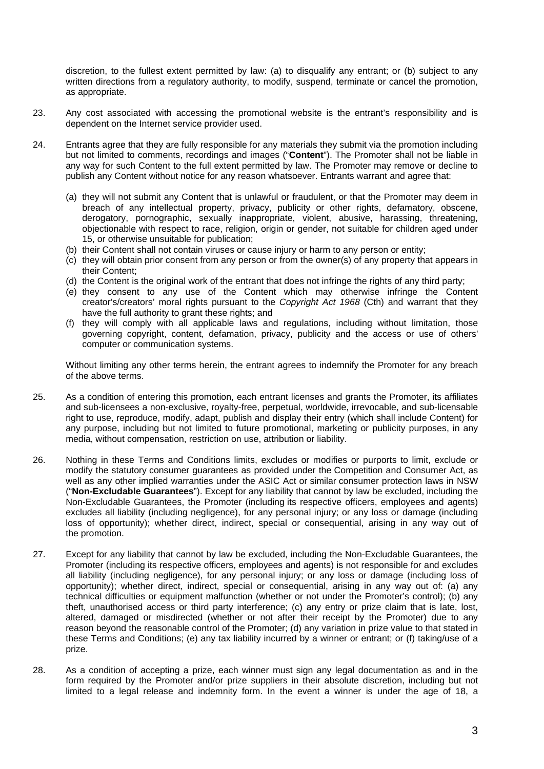discretion, to the fullest extent permitted by law: (a) to disqualify any entrant; or (b) subject to any written directions from a regulatory authority, to modify, suspend, terminate or cancel the promotion, as appropriate.

- 23. Any cost associated with accessing the promotional website is the entrant's responsibility and is dependent on the Internet service provider used.
- 24. Entrants agree that they are fully responsible for any materials they submit via the promotion including but not limited to comments, recordings and images ("**Content**"). The Promoter shall not be liable in any way for such Content to the full extent permitted by law. The Promoter may remove or decline to publish any Content without notice for any reason whatsoever. Entrants warrant and agree that:
	- (a) they will not submit any Content that is unlawful or fraudulent, or that the Promoter may deem in breach of any intellectual property, privacy, publicity or other rights, defamatory, obscene, derogatory, pornographic, sexually inappropriate, violent, abusive, harassing, threatening, objectionable with respect to race, religion, origin or gender, not suitable for children aged under 15, or otherwise unsuitable for publication;
	- (b) their Content shall not contain viruses or cause injury or harm to any person or entity;
	- (c) they will obtain prior consent from any person or from the owner(s) of any property that appears in their Content;
	- (d) the Content is the original work of the entrant that does not infringe the rights of any third party;
	- (e) they consent to any use of the Content which may otherwise infringe the Content creator's/creators' moral rights pursuant to the *Copyright Act 1968* (Cth) and warrant that they have the full authority to grant these rights; and
	- (f) they will comply with all applicable laws and regulations, including without limitation, those governing copyright, content, defamation, privacy, publicity and the access or use of others' computer or communication systems.

Without limiting any other terms herein, the entrant agrees to indemnify the Promoter for any breach of the above terms.

- 25. As a condition of entering this promotion, each entrant licenses and grants the Promoter, its affiliates and sub-licensees a non-exclusive, royalty-free, perpetual, worldwide, irrevocable, and sub-licensable right to use, reproduce, modify, adapt, publish and display their entry (which shall include Content) for any purpose, including but not limited to future promotional, marketing or publicity purposes, in any media, without compensation, restriction on use, attribution or liability.
- 26. Nothing in these Terms and Conditions limits, excludes or modifies or purports to limit, exclude or modify the statutory consumer guarantees as provided under the Competition and Consumer Act, as well as any other implied warranties under the ASIC Act or similar consumer protection laws in NSW ("**Non-Excludable Guarantees**"). Except for any liability that cannot by law be excluded, including the Non-Excludable Guarantees, the Promoter (including its respective officers, employees and agents) excludes all liability (including negligence), for any personal injury; or any loss or damage (including loss of opportunity); whether direct, indirect, special or consequential, arising in any way out of the promotion.
- 27. Except for any liability that cannot by law be excluded, including the Non-Excludable Guarantees, the Promoter (including its respective officers, employees and agents) is not responsible for and excludes all liability (including negligence), for any personal injury; or any loss or damage (including loss of opportunity); whether direct, indirect, special or consequential, arising in any way out of: (a) any technical difficulties or equipment malfunction (whether or not under the Promoter's control); (b) any theft, unauthorised access or third party interference; (c) any entry or prize claim that is late, lost, altered, damaged or misdirected (whether or not after their receipt by the Promoter) due to any reason beyond the reasonable control of the Promoter; (d) any variation in prize value to that stated in these Terms and Conditions; (e) any tax liability incurred by a winner or entrant; or (f) taking/use of a prize.
- 28. As a condition of accepting a prize, each winner must sign any legal documentation as and in the form required by the Promoter and/or prize suppliers in their absolute discretion, including but not limited to a legal release and indemnity form. In the event a winner is under the age of 18, a